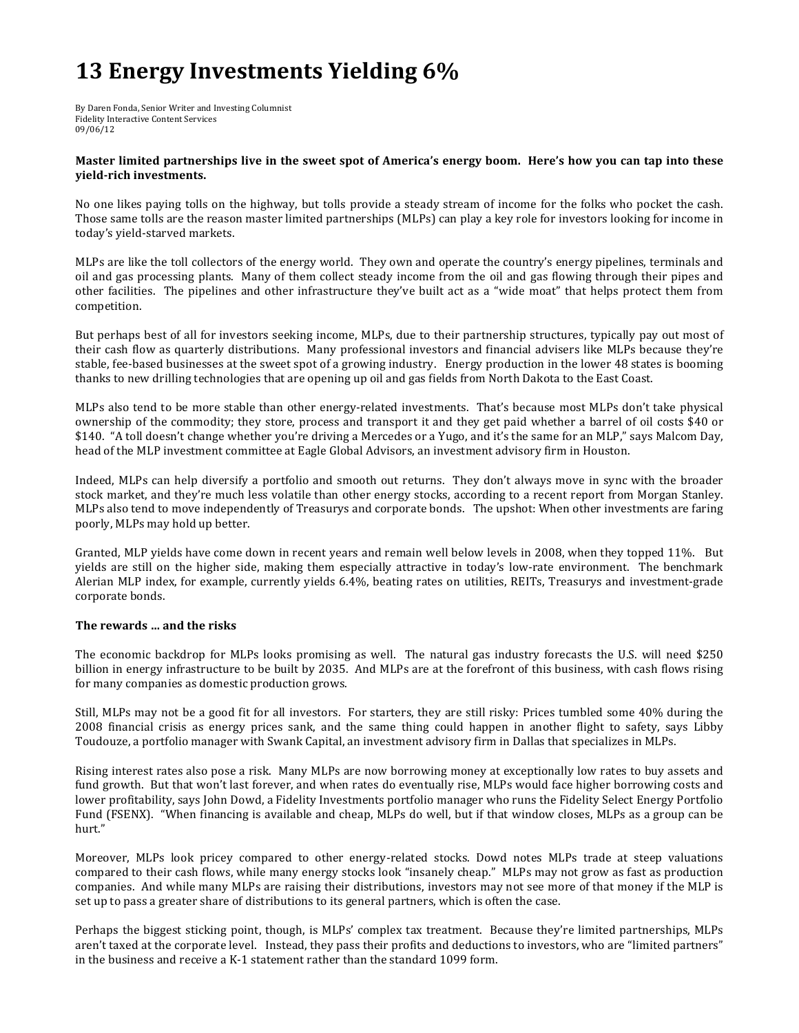# **13 Energy Investments Yielding 6%**

By Daren Fonda, Senior Writer and Investing Columnist Fidelity Interactive Content Services 09/06/12

# **Master limited partnerships live in the sweet spot of America's energy boom.** Here's how you can tap into these **yield-rich investments.**

No one likes paying tolls on the highway, but tolls provide a steady stream of income for the folks who pocket the cash. Those same tolls are the reason master limited partnerships (MLPs) can play a key role for investors looking for income in today's yield-starved markets.

MLPs are like the toll collectors of the energy world. They own and operate the country's energy pipelines, terminals and oil and gas processing plants. Many of them collect steady income from the oil and gas flowing through their pipes and other facilities. The pipelines and other infrastructure they've built act as a "wide moat" that helps protect them from competition.

But perhaps best of all for investors seeking income, MLPs, due to their partnership structures, typically pay out most of their cash flow as quarterly distributions. Many professional investors and financial advisers like MLPs because they're stable, fee-based businesses at the sweet spot of a growing industry. Energy production in the lower 48 states is booming thanks to new drilling technologies that are opening up oil and gas fields from North Dakota to the East Coast.

MLPs also tend to be more stable than other energy-related investments. That's because most MLPs don't take physical ownership of the commodity; they store, process and transport it and they get paid whether a barrel of oil costs \$40 or \$140. "A toll doesn't change whether you're driving a Mercedes or a Yugo, and it's the same for an MLP," says Malcom Day, head of the MLP investment committee at Eagle Global Advisors, an investment advisory firm in Houston.

Indeed, MLPs can help diversify a portfolio and smooth out returns. They don't always move in sync with the broader stock market, and they're much less volatile than other energy stocks, according to a recent report from Morgan Stanley. MLPs also tend to move independently of Treasurys and corporate bonds. The upshot: When other investments are faring poorly, MLPs may hold up better.

Granted, MLP yields have come down in recent years and remain well below levels in 2008, when they topped 11%. But yields are still on the higher side, making them especially attractive in today's low-rate environment. The benchmark Alerian MLP index, for example, currently yields 6.4%, beating rates on utilities, REITs, Treasurys and investment-grade corporate bonds.

## The rewards ... and the risks

The economic backdrop for MLPs looks promising as well. The natural gas industry forecasts the U.S. will need \$250 billion in energy infrastructure to be built by 2035. And MLPs are at the forefront of this business, with cash flows rising for many companies as domestic production grows.

Still, MLPs may not be a good fit for all investors. For starters, they are still risky: Prices tumbled some 40% during the 2008 financial crisis as energy prices sank, and the same thing could happen in another flight to safety, says Libby Toudouze, a portfolio manager with Swank Capital, an investment advisory firm in Dallas that specializes in MLPs.

Rising interest rates also pose a risk. Many MLPs are now borrowing money at exceptionally low rates to buy assets and fund growth. But that won't last forever, and when rates do eventually rise, MLPs would face higher borrowing costs and lower profitability, says John Dowd, a Fidelity Investments portfolio manager who runs the Fidelity Select Energy Portfolio Fund (FSENX). "When financing is available and cheap, MLPs do well, but if that window closes, MLPs as a group can be hurt."

Moreover, MLPs look pricey compared to other energy-related stocks. Dowd notes MLPs trade at steep valuations compared to their cash flows, while many energy stocks look "insanely cheap." MLPs may not grow as fast as production companies. And while many MLPs are raising their distributions, investors may not see more of that money if the MLP is set up to pass a greater share of distributions to its general partners, which is often the case.

Perhaps the biggest sticking point, though, is MLPs' complex tax treatment. Because they're limited partnerships, MLPs aren't taxed at the corporate level. Instead, they pass their profits and deductions to investors, who are "limited partners" in the business and receive a K-1 statement rather than the standard 1099 form.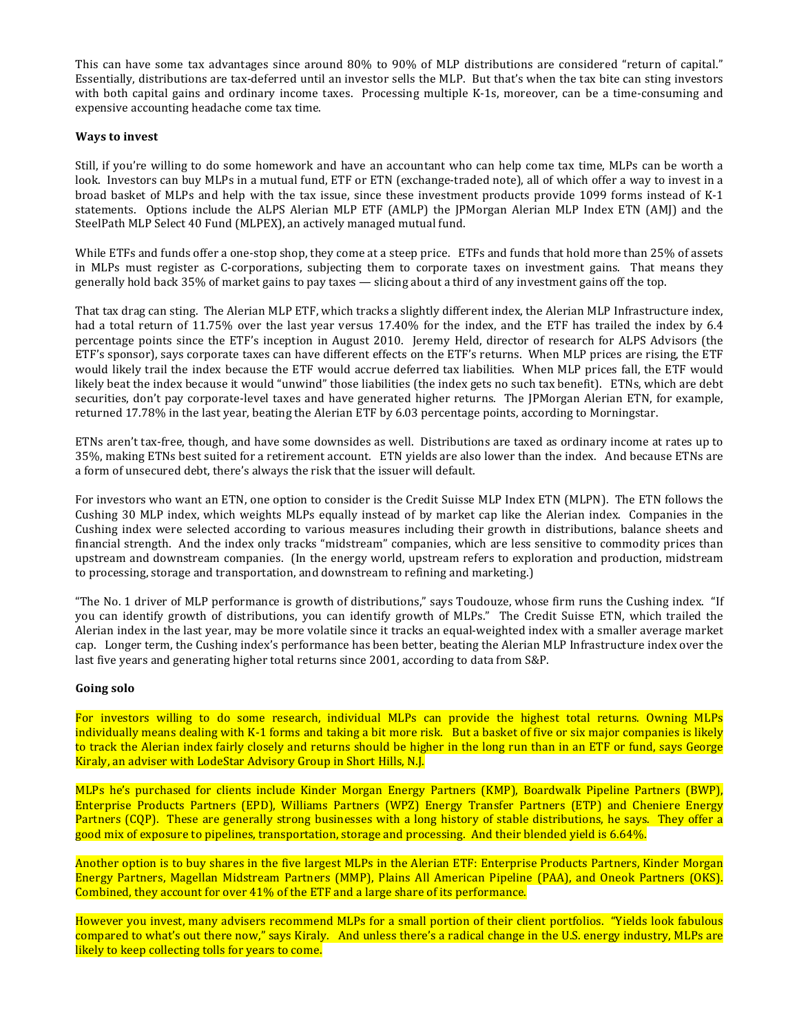This can have some tax advantages since around 80% to 90% of MLP distributions are considered "return of capital." Essentially, distributions are tax-deferred until an investor sells the MLP. But that's when the tax bite can sting investors with both capital gains and ordinary income taxes. Processing multiple K-1s, moreover, can be a time-consuming and expensive accounting headache come tax time.

# **Ways to invest**

Still, if you're willing to do some homework and have an accountant who can help come tax time, MLPs can be worth a look. Investors can buy MLPs in a mutual fund, ETF or ETN (exchange-traded note), all of which offer a way to invest in a broad basket of MLPs and help with the tax issue, since these investment products provide 1099 forms instead of K-1 statements. Options include the ALPS Alerian MLP ETF (AMLP) the JPMorgan Alerian MLP Index ETN (AMJ) and the SteelPath MLP Select 40 Fund (MLPEX), an actively managed mutual fund.

While ETFs and funds offer a one-stop shop, they come at a steep price. ETFs and funds that hold more than 25% of assets in MLPs must register as C-corporations, subjecting them to corporate taxes on investment gains. That means they generally hold back  $35\%$  of market gains to pay taxes — slicing about a third of any investment gains off the top.

That tax drag can sting. The Alerian MLP ETF, which tracks a slightly different index, the Alerian MLP Infrastructure index, had a total return of 11.75% over the last year versus 17.40% for the index, and the ETF has trailed the index by 6.4 percentage points since the ETF's inception in August 2010. Jeremy Held, director of research for ALPS Advisors (the ETF's sponsor), says corporate taxes can have different effects on the ETF's returns. When MLP prices are rising, the ETF would likely trail the index because the ETF would accrue deferred tax liabilities. When MLP prices fall, the ETF would likely beat the index because it would "unwind" those liabilities (the index gets no such tax benefit). ETNs, which are debt securities, don't pay corporate-level taxes and have generated higher returns. The JPMorgan Alerian ETN, for example, returned 17.78% in the last year, beating the Alerian ETF by 6.03 percentage points, according to Morningstar.

ETNs aren't tax-free, though, and have some downsides as well. Distributions are taxed as ordinary income at rates up to 35%, making ETNs best suited for a retirement account. ETN yields are also lower than the index. And because ETNs are a form of unsecured debt, there's always the risk that the issuer will default.

For investors who want an ETN, one option to consider is the Credit Suisse MLP Index ETN (MLPN). The ETN follows the Cushing 30 MLP index, which weights MLPs equally instead of by market cap like the Alerian index. Companies in the Cushing index were selected according to various measures including their growth in distributions, balance sheets and financial strength. And the index only tracks "midstream" companies, which are less sensitive to commodity prices than upstream and downstream companies. (In the energy world, upstream refers to exploration and production, midstream to processing, storage and transportation, and downstream to refining and marketing.)

"The No. 1 driver of MLP performance is growth of distributions," says Toudouze, whose firm runs the Cushing index. "If you can identify growth of distributions, you can identify growth of MLPs." The Credit Suisse ETN, which trailed the Alerian index in the last year, may be more volatile since it tracks an equal-weighted index with a smaller average market cap. Longer term, the Cushing index's performance has been better, beating the Alerian MLP Infrastructure index over the last five years and generating higher total returns since 2001, according to data from S&P.

## Going solo

For investors willing to do some research, individual MLPs can provide the highest total returns. Owning MLPs individually means dealing with K-1 forms and taking a bit more risk. But a basket of five or six major companies is likely to track the Alerian index fairly closely and returns should be higher in the long run than in an ETF or fund, says George Kiraly, an adviser with LodeStar Advisory Group in Short Hills, N.J.

MLPs he's purchased for clients include Kinder Morgan Energy Partners (KMP), Boardwalk Pipeline Partners (BWP), Enterprise Products Partners (EPD), Williams Partners (WPZ) Energy Transfer Partners (ETP) and Cheniere Energy Partners (CQP). These are generally strong businesses with a long history of stable distributions, he says. They offer a good mix of exposure to pipelines, transportation, storage and processing. And their blended yield is 6.64%.

Another option is to buy shares in the five largest MLPs in the Alerian ETF: Enterprise Products Partners, Kinder Morgan Energy Partners, Magellan Midstream Partners (MMP), Plains All American Pipeline (PAA), and Oneok Partners (OKS). Combined, they account for over  $41\%$  of the ETF and a large share of its performance.

However you invest, many advisers recommend MLPs for a small portion of their client portfolios. "Yields look fabulous compared to what's out there now," says Kiraly. And unless there's a radical change in the U.S. energy industry, MLPs are likely to keep collecting tolls for years to come.